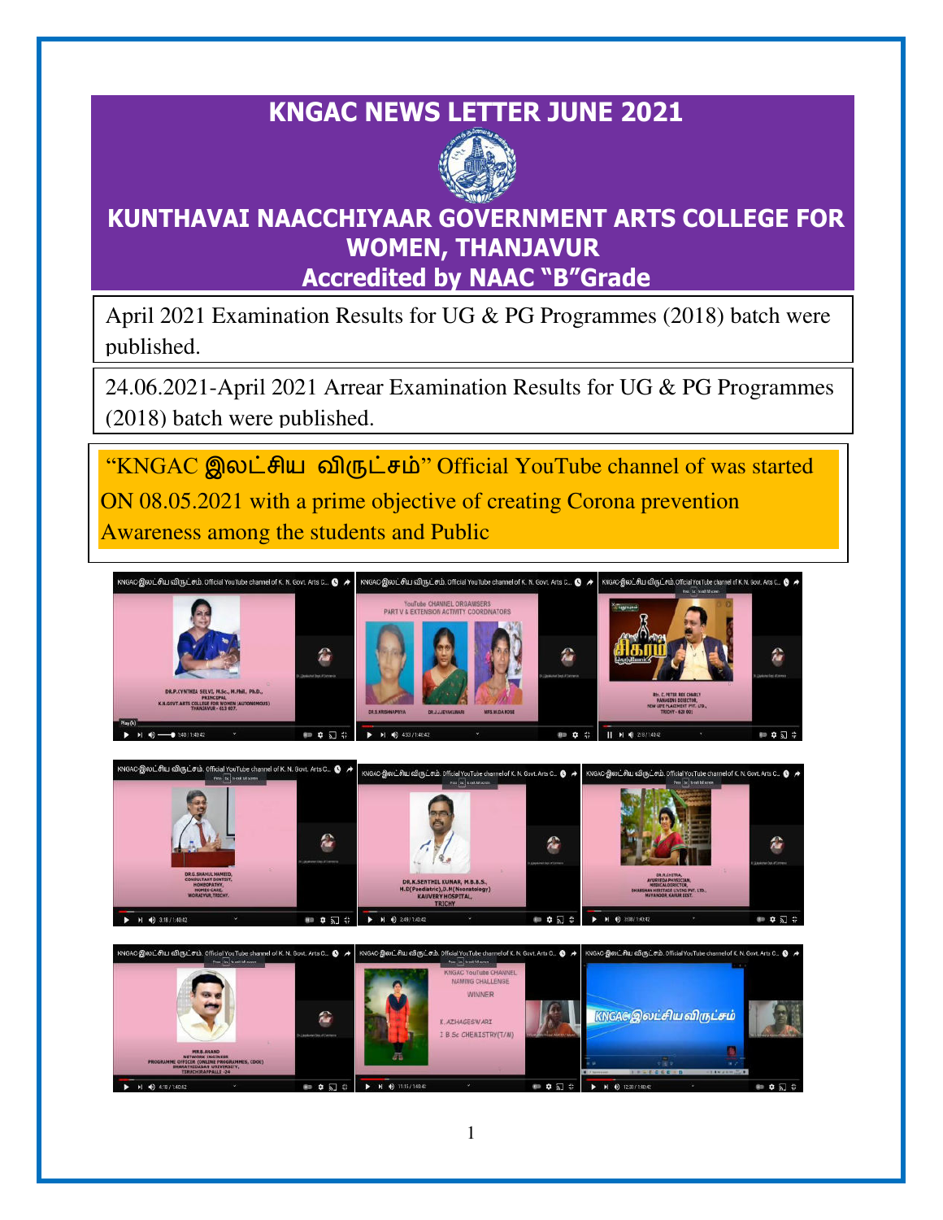# **KNGAC NEWS LETTER JUNE 2021**



# **KUNTHAVAI NAACCHIYAAR GOVERNMENT ARTS COLLEGE FOR WOMEN, THANJAVUR Accredited by NAAC "B"Grade**

April 2021 Examination Results for UG & PG Programmes (2018) batch were published.

24.06.2021-April 2021 Arrear Examination Results for UG & PG Programmes (2018) batch were published.

 "KNGAC இலட்சிய விருட்சம்" Official YouTube channel of was started ON 08.05.2021 with a prime objective of creating Corona prevention Awareness among the students and Public

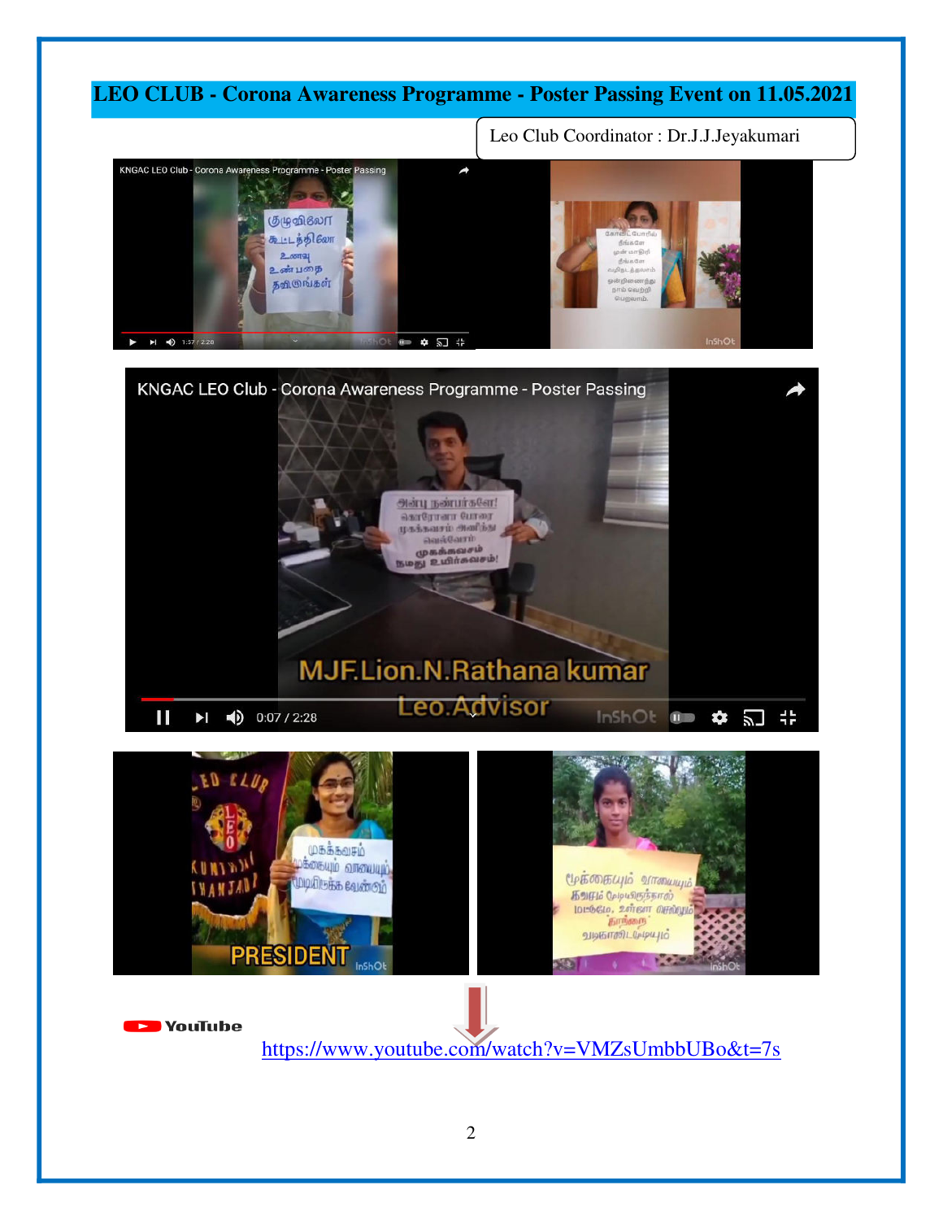### **LEO CLUB - Corona Awareness Programme - Poster Passing Event on 11.05.2021**

Leo Club Coordinator : Dr.J.J.Jeyakumari

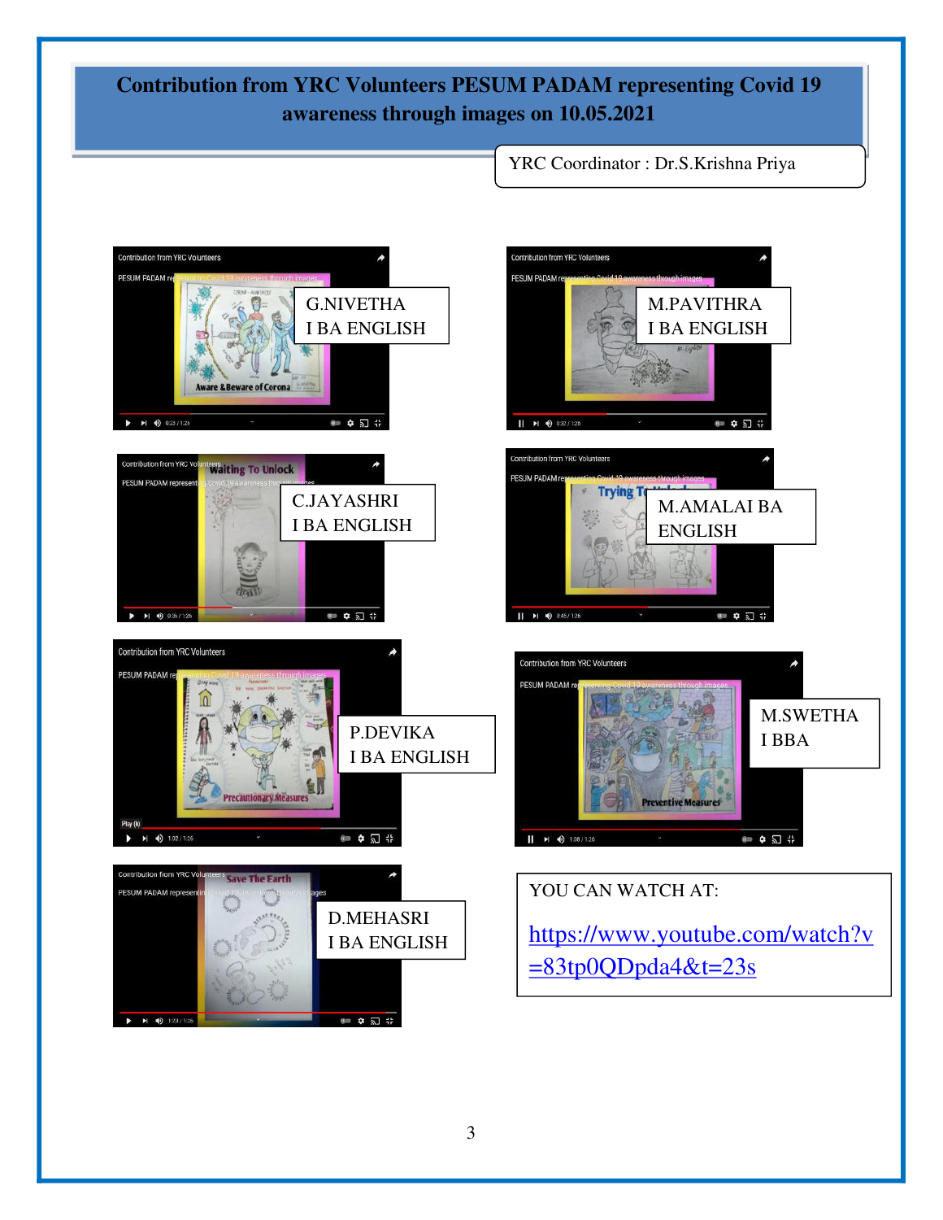## **Contribution from YRC Volunteers PESUM PADAM representing Covid 19 awareness through images on 10.05.2021**

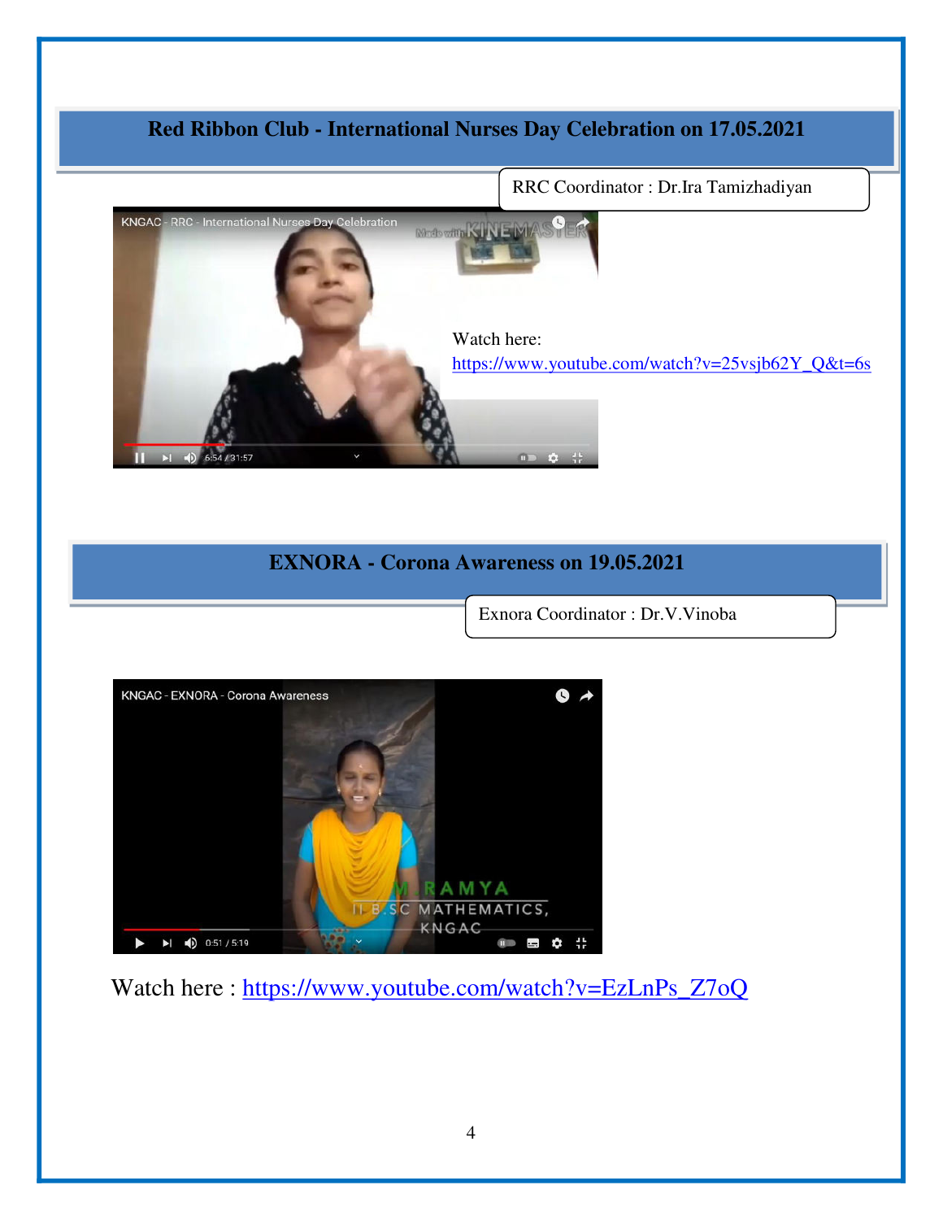## **Red Ribbon Club - International Nurses Day Celebration on 17.05.2021**



**EXNORA - Corona Awareness on 19.05.2021** 

Exnora Coordinator : Dr.V.Vinoba



Watch here : https://www.youtube.com/watch?v=EzLnPs\_Z7oQ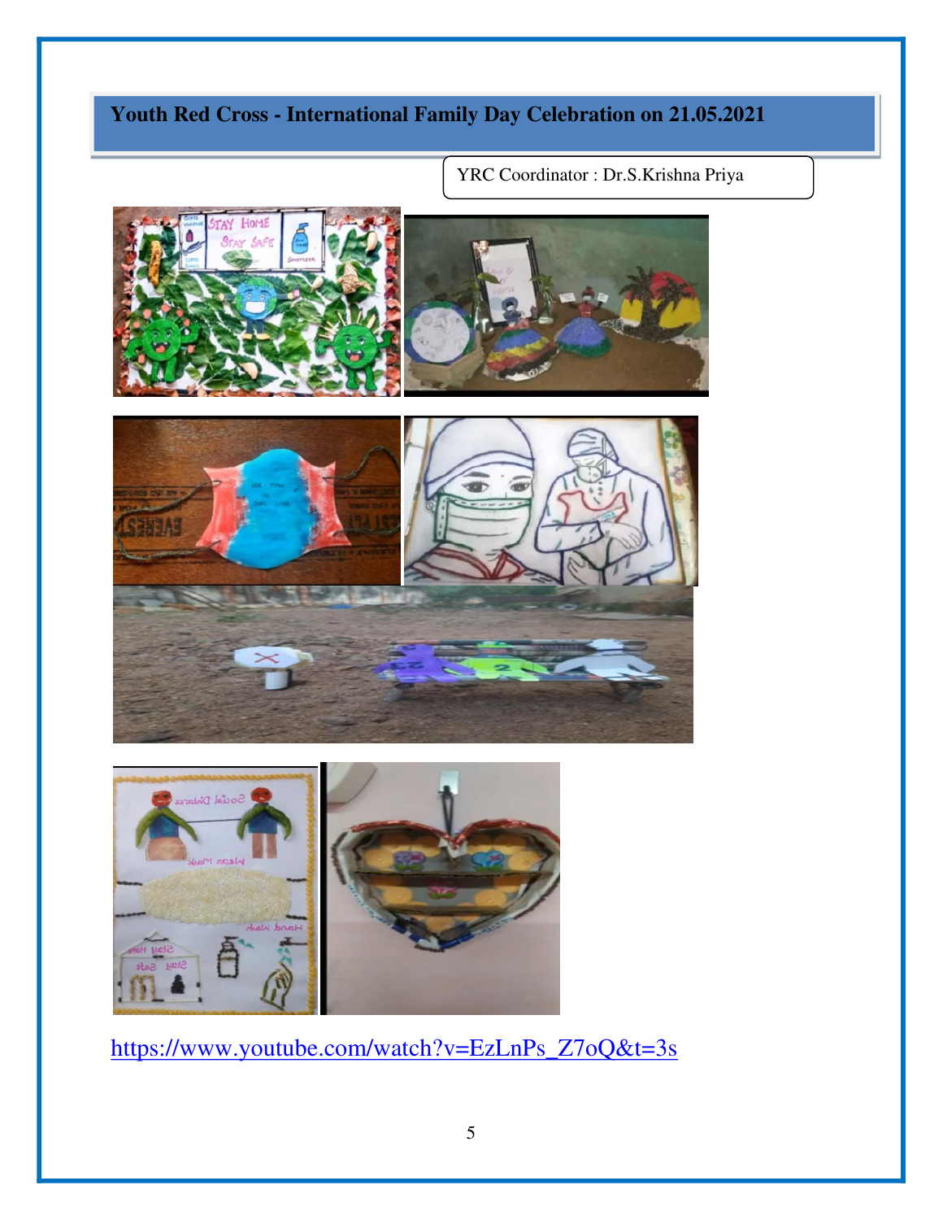# **Youth Red Cross - International Family Day Celebration on 21.05.2021**

YRC Coordinator : Dr.S.Krishna Priya





[https://www.youtube.com/watch?v=EzLnPs\\_Z7oQ&t=3s](https://www.youtube.com/watch?v=EzLnPs_Z7oQ&t=3s)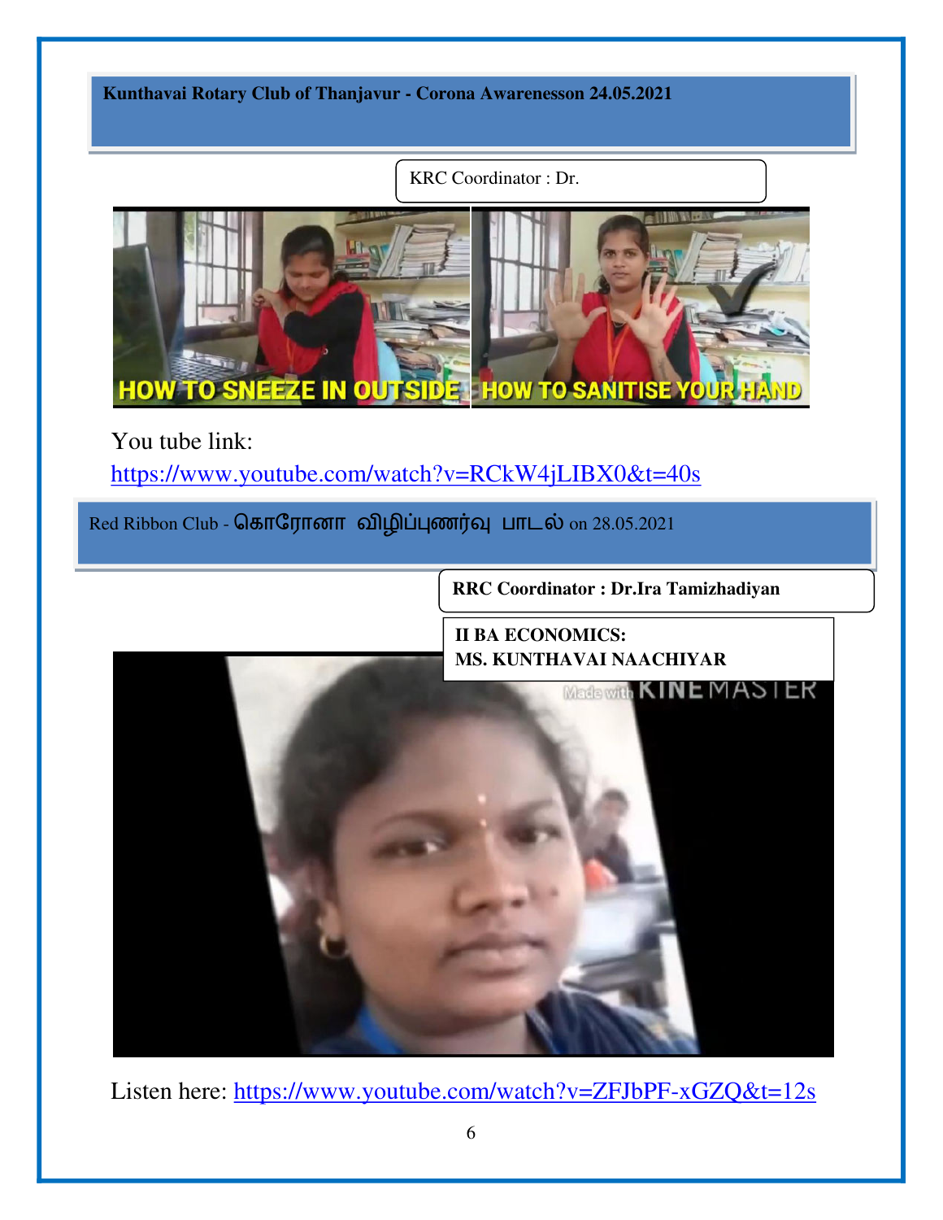**Kunthavai Rotary Club of Thanjavur - Corona Awarenesson 24.05.2021** 

KRC Coordinator : Dr.



You tube link:

<https://www.youtube.com/watch?v=RCkW4jLIBX0&t=40s>

Red Ribbon Club - கொரோனா விழிப்புணர்வு பாடல் on 28.05.2021

**RRC Coordinator : Dr.Ira Tamizhadiyan** 

**II BA ECONOMICS: MS. KUNTHAVAI NAACHIYAR** 



Listen here: https://www.youtube.com/watch?v=ZFJbPF-xGZQ&t=12s